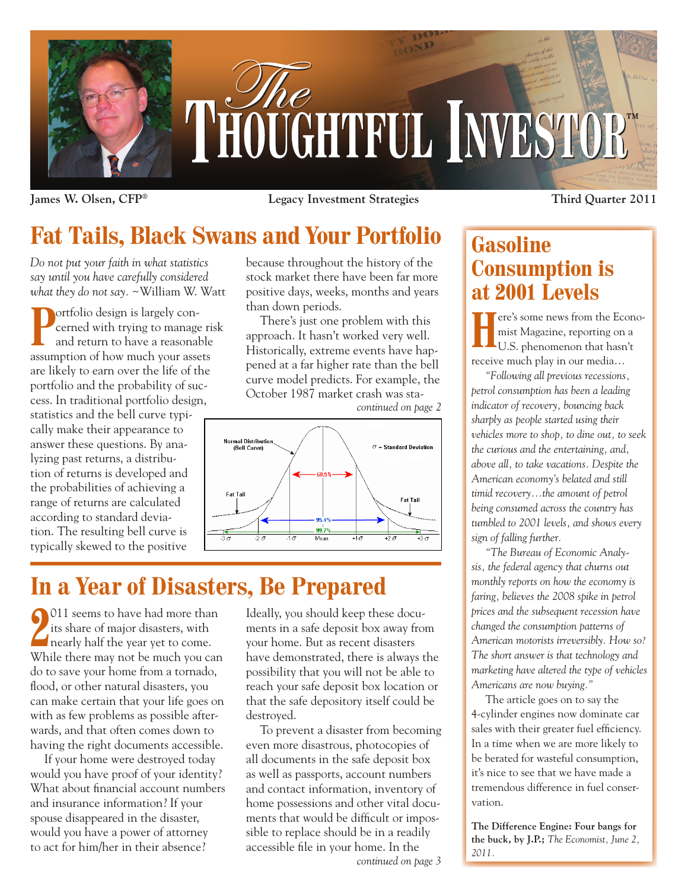

**James W. Olsen, CFP® Legacy Investment Strategies**

# **Fat Tails, Black Swans and Your Portfolio**

*Do not put your faith in what statistics say until you have carefully considered what they do not say.* ~William W. Watt

**Portfolio design is largely con**cerned with trying to manage risk and return to have a reasonable assumption of how much your assets are likely to earn over the life of the portfolio and the probability of success. In traditional portfolio design, statistics and the bell curve typically make their appearance to answer these questions. By analyzing past returns, a distribution of returns is developed and the probabilities of achieving a range of returns are calculated according to standard deviation. The resulting bell curve is typically skewed to the positive

because throughout the history of the stock market there have been far more positive days, weeks, months and years than down periods.

There's just one problem with this approach. It hasn't worked very well. Historically, extreme events have happened at a far higher rate than the bell curve model predicts. For example, the October 1987 market crash was sta-



# **In a Year of Disasters, Be Prepared**

**2** 011 seems to have had more than<br>its share of major disasters, with<br>nearly half the year yet to come. 011 seems to have had more than its share of major disasters, with While there may not be much you can do to save your home from a tornado, flood, or other natural disasters, you can make certain that your life goes on with as few problems as possible afterwards, and that often comes down to having the right documents accessible.

If your home were destroyed today would you have proof of your identity? What about financial account numbers and insurance information? If your spouse disappeared in the disaster, would you have a power of attorney to act for him/her in their absence?

Ideally, you should keep these documents in a safe deposit box away from your home. But as recent disasters have demonstrated, there is always the possibility that you will not be able to reach your safe deposit box location or that the safe depository itself could be destroyed.

To prevent a disaster from becoming even more disastrous, photocopies of all documents in the safe deposit box as well as passports, account numbers and contact information, inventory of home possessions and other vital documents that would be difficult or impossible to replace should be in a readily accessible file in your home. In the

*continued on page 3*

**Third Quarter 2011**

## **Gasoline Consumption is at 2001 Levels**

**Here's some news from the Econo-**<br>mist Magazine, reporting on a<br>U.S. phenomenon that hasn't mist Magazine, reporting on a receive much play in our media…

*"Following all previous recessions, petrol consumption has been a leading indicator of recovery, bouncing back sharply as people started using their vehicles more to shop, to dine out, to seek the curious and the entertaining, and, above all, to take vacations. Despite the American economy's belated and still timid recovery…the amount of petrol being consumed across the country has tumbled to 2001 levels, and shows every sign of falling further.*

*"The Bureau of Economic Analysis, the federal agency that churns out monthly reports on how the economy is faring, believes the 2008 spike in petrol prices and the subsequent recession have changed the consumption patterns of American motorists irreversibly. How so? The short answer is that technology and marketing have altered the type of vehicles Americans are now buying."*

The article goes on to say the 4-cylinder engines now dominate car sales with their greater fuel efficiency. In a time when we are more likely to be berated for wasteful consumption, it's nice to see that we have made a tremendous difference in fuel conservation.

**The Difference Engine: Four bangs for the buck, by J.P.;** *The Economist, June 2, 2011.*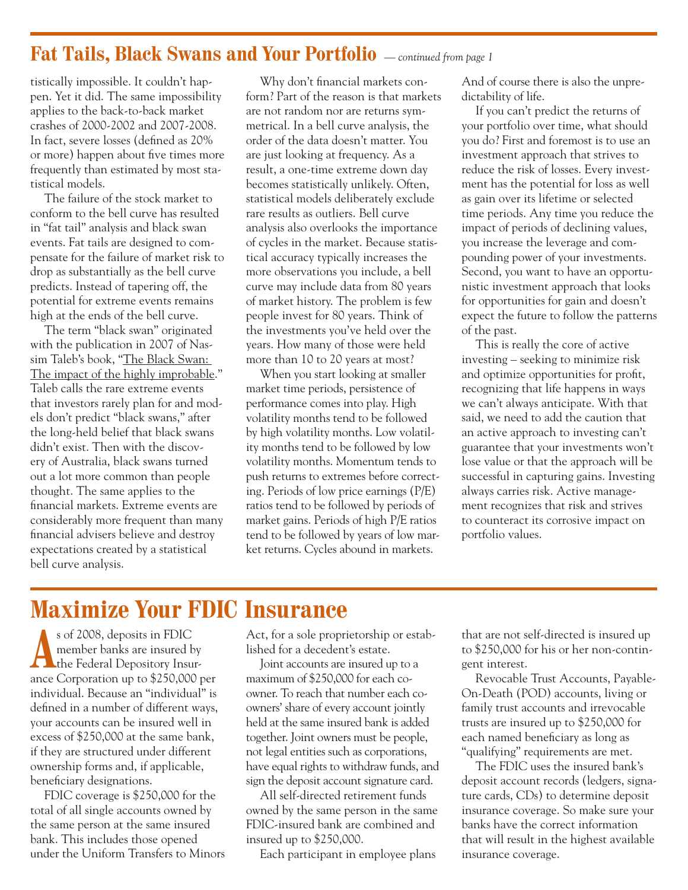### **Fat Tails, Black Swans and Your Portfolio** *— continued from page 1*

tistically impossible. It couldn't happen. Yet it did. The same impossibility applies to the back-to-back market crashes of 2000-2002 and 2007-2008. In fact, severe losses (defined as 20% or more) happen about five times more frequently than estimated by most statistical models.

The failure of the stock market to conform to the bell curve has resulted in "fat tail" analysis and black swan events. Fat tails are designed to compensate for the failure of market risk to drop as substantially as the bell curve predicts. Instead of tapering off, the potential for extreme events remains high at the ends of the bell curve.

The term "black swan" originated with the publication in 2007 of Nassim Taleb's book, "The Black Swan: The impact of the highly improbable." Taleb calls the rare extreme events that investors rarely plan for and models don't predict "black swans," after the long-held belief that black swans didn't exist. Then with the discovery of Australia, black swans turned out a lot more common than people thought. The same applies to the financial markets. Extreme events are considerably more frequent than many financial advisers believe and destroy expectations created by a statistical bell curve analysis.

Why don't financial markets conform? Part of the reason is that markets are not random nor are returns symmetrical. In a bell curve analysis, the order of the data doesn't matter. You are just looking at frequency. As a result, a one-time extreme down day becomes statistically unlikely. Often, statistical models deliberately exclude rare results as outliers. Bell curve analysis also overlooks the importance of cycles in the market. Because statistical accuracy typically increases the more observations you include, a bell curve may include data from 80 years of market history. The problem is few people invest for 80 years. Think of the investments you've held over the years. How many of those were held more than 10 to 20 years at most?

When you start looking at smaller market time periods, persistence of performance comes into play. High volatility months tend to be followed by high volatility months. Low volatility months tend to be followed by low volatility months. Momentum tends to push returns to extremes before correcting. Periods of low price earnings (P/E) ratios tend to be followed by periods of market gains. Periods of high P/E ratios tend to be followed by years of low market returns. Cycles abound in markets.

And of course there is also the unpredictability of life.

If you can't predict the returns of your portfolio over time, what should you do? First and foremost is to use an investment approach that strives to reduce the risk of losses. Every investment has the potential for loss as well as gain over its lifetime or selected time periods. Any time you reduce the impact of periods of declining values, you increase the leverage and compounding power of your investments. Second, you want to have an opportunistic investment approach that looks for opportunities for gain and doesn't expect the future to follow the patterns of the past.

This is really the core of active investing – seeking to minimize risk and optimize opportunities for profit, recognizing that life happens in ways we can't always anticipate. With that said, we need to add the caution that an active approach to investing can't guarantee that your investments won't lose value or that the approach will be successful in capturing gains. Investing always carries risk. Active management recognizes that risk and strives to counteract its corrosive impact on portfolio values.

## **Maximize Your FDIC Insurance**

s of 2008, deposits in FDIC<br>
member banks are insured by<br>
the Federal Depository Insurmember banks are insured by ance Corporation up to \$250,000 per individual. Because an "individual" is defined in a number of different ways, your accounts can be insured well in excess of \$250,000 at the same bank, if they are structured under different ownership forms and, if applicable, beneficiary designations.

FDIC coverage is \$250,000 for the total of all single accounts owned by the same person at the same insured bank. This includes those opened under the Uniform Transfers to Minors

Act, for a sole proprietorship or established for a decedent's estate.

Joint accounts are insured up to a maximum of \$250,000 for each coowner. To reach that number each coowners' share of every account jointly held at the same insured bank is added together. Joint owners must be people, not legal entities such as corporations, have equal rights to withdraw funds, and sign the deposit account signature card.

All self-directed retirement funds owned by the same person in the same FDIC-insured bank are combined and insured up to \$250,000.

Each participant in employee plans

that are not self-directed is insured up to \$250,000 for his or her non-contingent interest.

Revocable Trust Accounts, Payable-On-Death (POD) accounts, living or family trust accounts and irrevocable trusts are insured up to \$250,000 for each named beneficiary as long as "qualifying" requirements are met.

The FDIC uses the insured bank's deposit account records (ledgers, signature cards, CDs) to determine deposit insurance coverage. So make sure your banks have the correct information that will result in the highest available insurance coverage.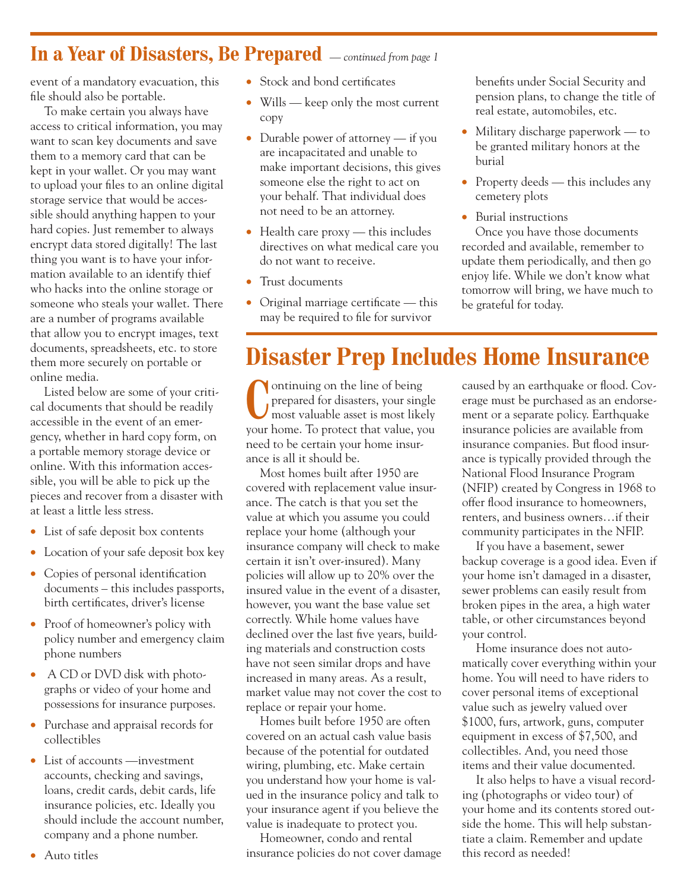### **In a Year of Disasters, Be Prepared** *— continued from page 1*

event of a mandatory evacuation, this file should also be portable.

To make certain you always have access to critical information, you may want to scan key documents and save them to a memory card that can be kept in your wallet. Or you may want to upload your files to an online digital storage service that would be accessible should anything happen to your hard copies. Just remember to always encrypt data stored digitally! The last thing you want is to have your information available to an identify thief who hacks into the online storage or someone who steals your wallet. There are a number of programs available that allow you to encrypt images, text documents, spreadsheets, etc. to store them more securely on portable or online media.

Listed below are some of your critical documents that should be readily accessible in the event of an emergency, whether in hard copy form, on a portable memory storage device or online. With this information accessible, you will be able to pick up the pieces and recover from a disaster with at least a little less stress.

- List of safe deposit box contents
- Location of your safe deposit box key
- Copies of personal identification documents – this includes passports, birth certificates, driver's license
- Proof of homeowner's policy with policy number and emergency claim phone numbers
- A CD or DVD disk with photographs or video of your home and possessions for insurance purposes.
- Purchase and appraisal records for collectibles
- List of accounts —investment accounts, checking and savings, loans, credit cards, debit cards, life insurance policies, etc. Ideally you should include the account number, company and a phone number.
- Stock and bond certificates
- Wills keep only the most current copy
- Durable power of attorney if you are incapacitated and unable to make important decisions, this gives someone else the right to act on your behalf. That individual does not need to be an attorney.
- $\bullet$  Health care proxy this includes directives on what medical care you do not want to receive.
- Trust documents
- Original marriage certificate this may be required to file for survivor

benefits under Social Security and pension plans, to change the title of real estate, automobiles, etc.

- Military discharge paperwork to be granted military honors at the burial
- Property deeds this includes any cemetery plots
- Burial instructions

Once you have those documents recorded and available, remember to update them periodically, and then go enjoy life. While we don't know what tomorrow will bring, we have much to be grateful for today.

## **Disaster Prep Includes Home Insurance**

**C**ontinuing on the line of being<br>
prepared for disasters, your single<br>
most valuable asset is most likely prepared for disasters, your single your home. To protect that value, you need to be certain your home insurance is all it should be.

Most homes built after 1950 are covered with replacement value insurance. The catch is that you set the value at which you assume you could replace your home (although your insurance company will check to make certain it isn't over-insured). Many policies will allow up to 20% over the insured value in the event of a disaster, however, you want the base value set correctly. While home values have declined over the last five years, building materials and construction costs have not seen similar drops and have increased in many areas. As a result, market value may not cover the cost to replace or repair your home.

Homes built before 1950 are often covered on an actual cash value basis because of the potential for outdated wiring, plumbing, etc. Make certain you understand how your home is valued in the insurance policy and talk to your insurance agent if you believe the value is inadequate to protect you.

Homeowner, condo and rental insurance policies do not cover damage caused by an earthquake or flood. Coverage must be purchased as an endorsement or a separate policy. Earthquake insurance policies are available from insurance companies. But flood insurance is typically provided through the National Flood Insurance Program (NFIP) created by Congress in 1968 to offer flood insurance to homeowners, renters, and business owners…if their community participates in the NFIP.

If you have a basement, sewer backup coverage is a good idea. Even if your home isn't damaged in a disaster, sewer problems can easily result from broken pipes in the area, a high water table, or other circumstances beyond your control.

Home insurance does not automatically cover everything within your home. You will need to have riders to cover personal items of exceptional value such as jewelry valued over \$1000, furs, artwork, guns, computer equipment in excess of \$7,500, and collectibles. And, you need those items and their value documented.

It also helps to have a visual recording (photographs or video tour) of your home and its contents stored outside the home. This will help substantiate a claim. Remember and update this record as needed!

• Auto titles